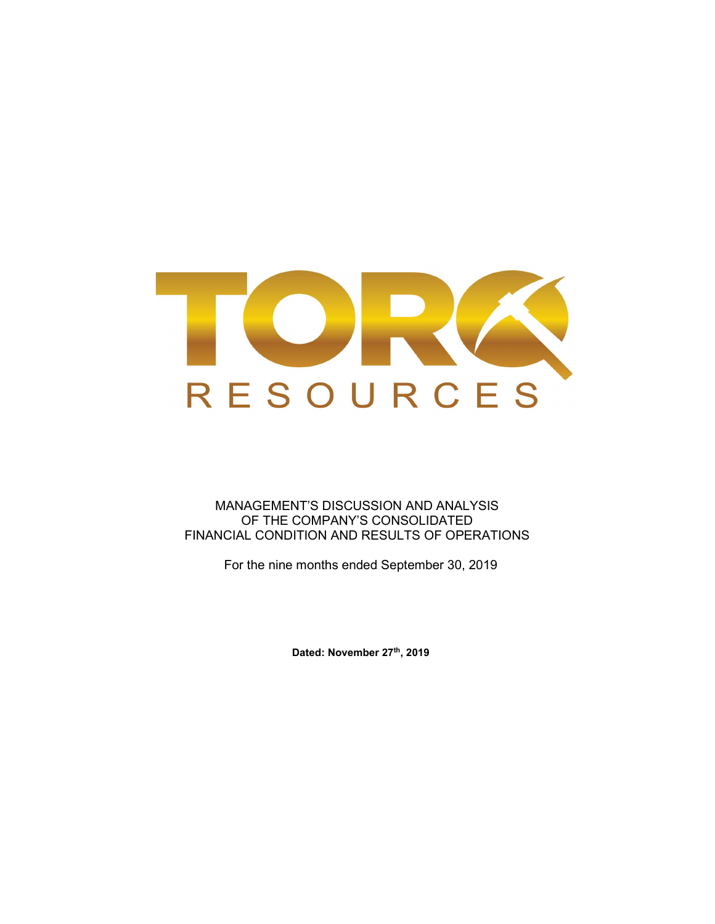

MANAGEMENT'S DISCUSSION AND ANALYSIS OF THE COMPANY'S CONSOLIDATED FINANCIAL CONDITION AND RESULTS OF OPERATIONS

For the nine months ended September 30, 2019

Dated: November 27th, 2019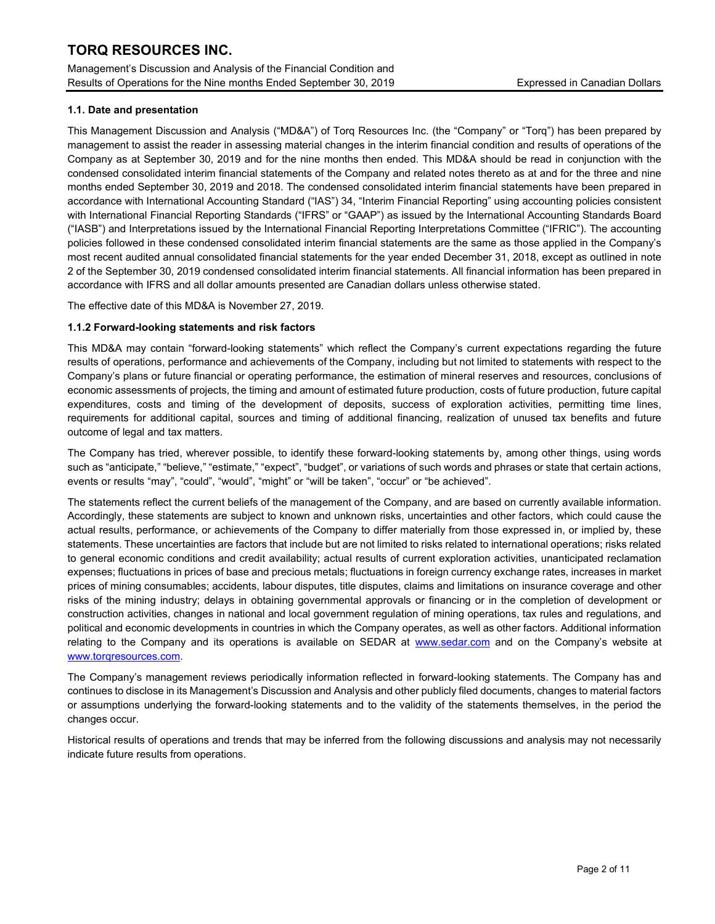Management's Discussion and Analysis of the Financial Condition and Results of Operations for the Nine months Ended September 30, 2019 Expressed in Canadian Dollars

## 1.1. Date and presentation

This Management Discussion and Analysis ("MD&A") of Torq Resources Inc. (the "Company" or "Torq") has been prepared by management to assist the reader in assessing material changes in the interim financial condition and results of operations of the Company as at September 30, 2019 and for the nine months then ended. This MD&A should be read in conjunction with the condensed consolidated interim financial statements of the Company and related notes thereto as at and for the three and nine months ended September 30, 2019 and 2018. The condensed consolidated interim financial statements have been prepared in accordance with International Accounting Standard ("IAS") 34, "Interim Financial Reporting" using accounting policies consistent with International Financial Reporting Standards ("IFRS" or "GAAP") as issued by the International Accounting Standards Board ("IASB") and Interpretations issued by the International Financial Reporting Interpretations Committee ("IFRIC"). The accounting policies followed in these condensed consolidated interim financial statements are the same as those applied in the Company's most recent audited annual consolidated financial statements for the year ended December 31, 2018, except as outlined in note 2 of the September 30, 2019 condensed consolidated interim financial statements. All financial information has been prepared in accordance with IFRS and all dollar amounts presented are Canadian dollars unless otherwise stated.

The effective date of this MD&A is November 27, 2019.

## 1.1.2 Forward-looking statements and risk factors

This MD&A may contain "forward-looking statements" which reflect the Company's current expectations regarding the future results of operations, performance and achievements of the Company, including but not limited to statements with respect to the Company's plans or future financial or operating performance, the estimation of mineral reserves and resources, conclusions of economic assessments of projects, the timing and amount of estimated future production, costs of future production, future capital expenditures, costs and timing of the development of deposits, success of exploration activities, permitting time lines, requirements for additional capital, sources and timing of additional financing, realization of unused tax benefits and future outcome of legal and tax matters.

The Company has tried, wherever possible, to identify these forward-looking statements by, among other things, using words such as "anticipate," "believe," "estimate," "expect", "budget", or variations of such words and phrases or state that certain actions, events or results "may", "could", "would", "might" or "will be taken", "occur" or "be achieved".

The statements reflect the current beliefs of the management of the Company, and are based on currently available information. Accordingly, these statements are subject to known and unknown risks, uncertainties and other factors, which could cause the actual results, performance, or achievements of the Company to differ materially from those expressed in, or implied by, these statements. These uncertainties are factors that include but are not limited to risks related to international operations; risks related to general economic conditions and credit availability; actual results of current exploration activities, unanticipated reclamation expenses; fluctuations in prices of base and precious metals; fluctuations in foreign currency exchange rates, increases in market prices of mining consumables; accidents, labour disputes, title disputes, claims and limitations on insurance coverage and other risks of the mining industry; delays in obtaining governmental approvals or financing or in the completion of development or construction activities, changes in national and local government regulation of mining operations, tax rules and regulations, and political and economic developments in countries in which the Company operates, as well as other factors. Additional information relating to the Company and its operations is available on SEDAR at www.sedar.com and on the Company's website at www.torqresources.com.

The Company's management reviews periodically information reflected in forward-looking statements. The Company has and continues to disclose in its Management's Discussion and Analysis and other publicly filed documents, changes to material factors or assumptions underlying the forward-looking statements and to the validity of the statements themselves, in the period the changes occur.

Historical results of operations and trends that may be inferred from the following discussions and analysis may not necessarily indicate future results from operations.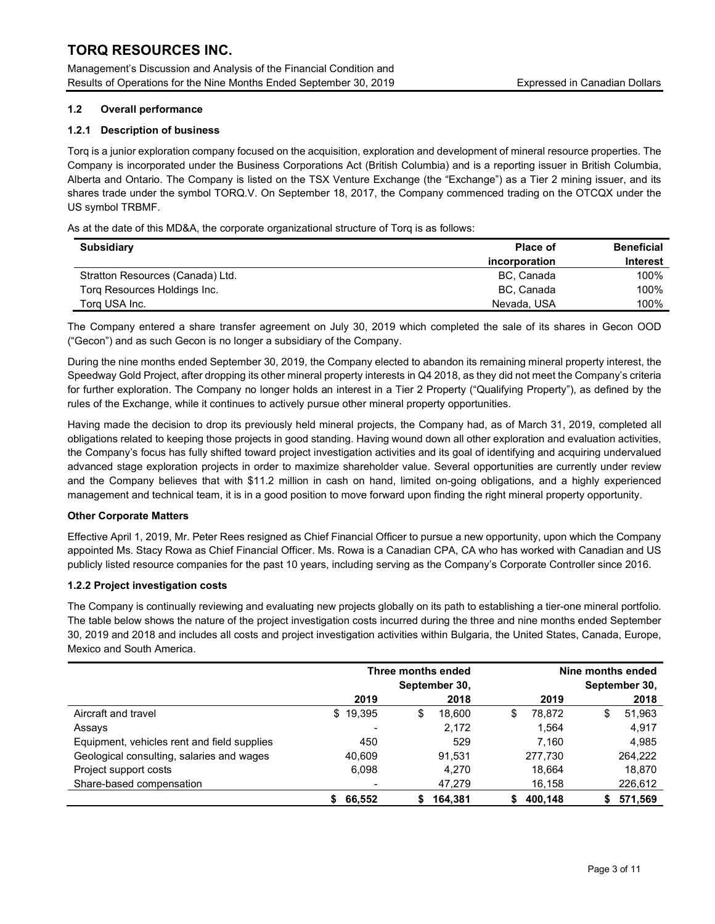Management's Discussion and Analysis of the Financial Condition and Results of Operations for the Nine Months Ended September 30, 2019 Expressed in Canadian Dollars

## 1.2 Overall performance

## 1.2.1 Description of business

Torq is a junior exploration company focused on the acquisition, exploration and development of mineral resource properties. The Company is incorporated under the Business Corporations Act (British Columbia) and is a reporting issuer in British Columbia, Alberta and Ontario. The Company is listed on the TSX Venture Exchange (the "Exchange") as a Tier 2 mining issuer, and its shares trade under the symbol TORQ.V. On September 18, 2017, the Company commenced trading on the OTCQX under the US symbol TRBMF.

As at the date of this MD&A, the corporate organizational structure of Torq is as follows:

| <b>Subsidiary</b>                | <b>Place of</b> | <b>Beneficial</b> |
|----------------------------------|-----------------|-------------------|
|                                  | incorporation   | <b>Interest</b>   |
| Stratton Resources (Canada) Ltd. | BC, Canada      | 100%              |
| Torg Resources Holdings Inc.     | BC, Canada      | 100%              |
| Torg USA Inc.                    | Nevada, USA     | 100%              |

The Company entered a share transfer agreement on July 30, 2019 which completed the sale of its shares in Gecon OOD ("Gecon") and as such Gecon is no longer a subsidiary of the Company.

During the nine months ended September 30, 2019, the Company elected to abandon its remaining mineral property interest, the Speedway Gold Project, after dropping its other mineral property interests in Q4 2018, as they did not meet the Company's criteria for further exploration. The Company no longer holds an interest in a Tier 2 Property ("Qualifying Property"), as defined by the rules of the Exchange, while it continues to actively pursue other mineral property opportunities.

Having made the decision to drop its previously held mineral projects, the Company had, as of March 31, 2019, completed all obligations related to keeping those projects in good standing. Having wound down all other exploration and evaluation activities, the Company's focus has fully shifted toward project investigation activities and its goal of identifying and acquiring undervalued advanced stage exploration projects in order to maximize shareholder value. Several opportunities are currently under review and the Company believes that with \$11.2 million in cash on hand, limited on-going obligations, and a highly experienced management and technical team, it is in a good position to move forward upon finding the right mineral property opportunity.

## Other Corporate Matters

Effective April 1, 2019, Mr. Peter Rees resigned as Chief Financial Officer to pursue a new opportunity, upon which the Company appointed Ms. Stacy Rowa as Chief Financial Officer. Ms. Rowa is a Canadian CPA, CA who has worked with Canadian and US publicly listed resource companies for the past 10 years, including serving as the Company's Corporate Controller since 2016.

## 1.2.2 Project investigation costs

The Company is continually reviewing and evaluating new projects globally on its path to establishing a tier-one mineral portfolio. The table below shows the nature of the project investigation costs incurred during the three and nine months ended September 30, 2019 and 2018 and includes all costs and project investigation activities within Bulgaria, the United States, Canada, Europe, Mexico and South America.

|                                             |                          | Three months ended |             | Nine months ended |  |  |
|---------------------------------------------|--------------------------|--------------------|-------------|-------------------|--|--|
|                                             |                          | September 30,      |             | September 30,     |  |  |
|                                             | 2019                     | 2018               | 2019        | 2018              |  |  |
| Aircraft and travel                         | \$19,395                 | \$<br>18.600       | 78.872<br>S | 51,963<br>S       |  |  |
| Assays                                      | $\overline{\phantom{0}}$ | 2,172              | 1.564       | 4,917             |  |  |
| Equipment, vehicles rent and field supplies | 450                      | 529                | 7.160       | 4,985             |  |  |
| Geological consulting, salaries and wages   | 40,609                   | 91.531             | 277.730     | 264,222           |  |  |
| Project support costs                       | 6,098                    | 4.270              | 18.664      | 18,870            |  |  |
| Share-based compensation                    |                          | 47,279             | 16,158      | 226,612           |  |  |
|                                             | 66.552                   | 164.381<br>S       | 400.148     | 571.569           |  |  |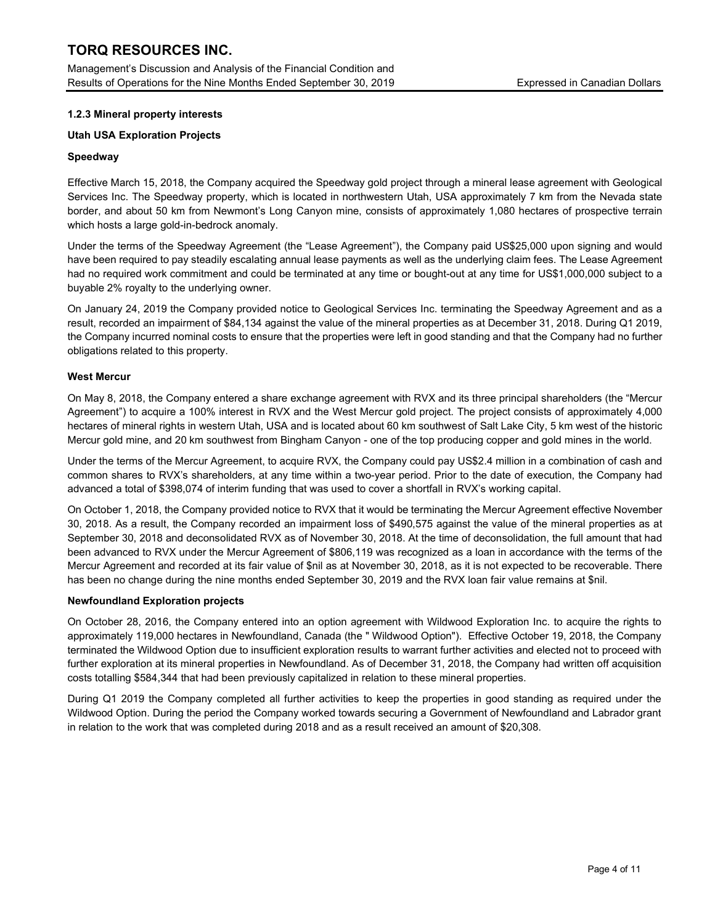Management's Discussion and Analysis of the Financial Condition and Results of Operations for the Nine Months Ended September 30, 2019 Expressed in Canadian Dollars

## 1.2.3 Mineral property interests

## Utah USA Exploration Projects

## Speedway

Effective March 15, 2018, the Company acquired the Speedway gold project through a mineral lease agreement with Geological Services Inc. The Speedway property, which is located in northwestern Utah, USA approximately 7 km from the Nevada state border, and about 50 km from Newmont's Long Canyon mine, consists of approximately 1,080 hectares of prospective terrain which hosts a large gold-in-bedrock anomaly.

Under the terms of the Speedway Agreement (the "Lease Agreement"), the Company paid US\$25,000 upon signing and would have been required to pay steadily escalating annual lease payments as well as the underlying claim fees. The Lease Agreement had no required work commitment and could be terminated at any time or bought-out at any time for US\$1,000,000 subject to a buyable 2% royalty to the underlying owner.

On January 24, 2019 the Company provided notice to Geological Services Inc. terminating the Speedway Agreement and as a result, recorded an impairment of \$84,134 against the value of the mineral properties as at December 31, 2018. During Q1 2019, the Company incurred nominal costs to ensure that the properties were left in good standing and that the Company had no further obligations related to this property.

## West Mercur

On May 8, 2018, the Company entered a share exchange agreement with RVX and its three principal shareholders (the "Mercur Agreement") to acquire a 100% interest in RVX and the West Mercur gold project. The project consists of approximately 4,000 hectares of mineral rights in western Utah, USA and is located about 60 km southwest of Salt Lake City, 5 km west of the historic Mercur gold mine, and 20 km southwest from Bingham Canyon - one of the top producing copper and gold mines in the world.

Under the terms of the Mercur Agreement, to acquire RVX, the Company could pay US\$2.4 million in a combination of cash and common shares to RVX's shareholders, at any time within a two-year period. Prior to the date of execution, the Company had advanced a total of \$398,074 of interim funding that was used to cover a shortfall in RVX's working capital.

On October 1, 2018, the Company provided notice to RVX that it would be terminating the Mercur Agreement effective November 30, 2018. As a result, the Company recorded an impairment loss of \$490,575 against the value of the mineral properties as at September 30, 2018 and deconsolidated RVX as of November 30, 2018. At the time of deconsolidation, the full amount that had been advanced to RVX under the Mercur Agreement of \$806,119 was recognized as a loan in accordance with the terms of the Mercur Agreement and recorded at its fair value of \$nil as at November 30, 2018, as it is not expected to be recoverable. There has been no change during the nine months ended September 30, 2019 and the RVX loan fair value remains at \$nil.

## Newfoundland Exploration projects

On October 28, 2016, the Company entered into an option agreement with Wildwood Exploration Inc. to acquire the rights to approximately 119,000 hectares in Newfoundland, Canada (the " Wildwood Option"). Effective October 19, 2018, the Company terminated the Wildwood Option due to insufficient exploration results to warrant further activities and elected not to proceed with further exploration at its mineral properties in Newfoundland. As of December 31, 2018, the Company had written off acquisition costs totalling \$584,344 that had been previously capitalized in relation to these mineral properties.

During Q1 2019 the Company completed all further activities to keep the properties in good standing as required under the Wildwood Option. During the period the Company worked towards securing a Government of Newfoundland and Labrador grant in relation to the work that was completed during 2018 and as a result received an amount of \$20,308.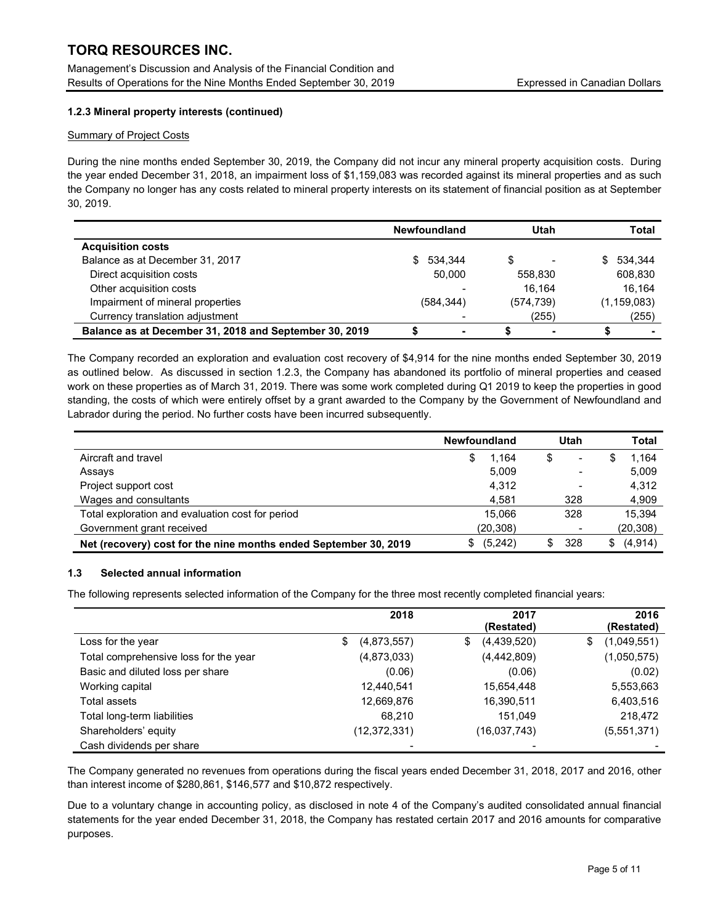Management's Discussion and Analysis of the Financial Condition and Results of Operations for the Nine Months Ended September 30, 2019 Expressed in Canadian Dollars

## 1.2.3 Mineral property interests (continued)

## Summary of Project Costs

During the nine months ended September 30, 2019, the Company did not incur any mineral property acquisition costs. During the year ended December 31, 2018, an impairment loss of \$1,159,083 was recorded against its mineral properties and as such the Company no longer has any costs related to mineral property interests on its statement of financial position as at September 30, 2019.

|                                                        | <b>Newfoundland</b> | Utah       | <b>Total</b>  |
|--------------------------------------------------------|---------------------|------------|---------------|
| <b>Acquisition costs</b>                               |                     |            |               |
| Balance as at December 31, 2017                        | \$ 534.344          | S          | 534.344<br>S. |
| Direct acquisition costs                               | 50.000              | 558.830    | 608,830       |
| Other acquisition costs                                |                     | 16.164     | 16.164        |
| Impairment of mineral properties                       | (584, 344)          | (574, 739) | (1, 159, 083) |
| Currency translation adjustment                        |                     | (255)      | (255)         |
| Balance as at December 31, 2018 and September 30, 2019 |                     |            |               |

The Company recorded an exploration and evaluation cost recovery of \$4,914 for the nine months ended September 30, 2019 as outlined below. As discussed in section 1.2.3, the Company has abandoned its portfolio of mineral properties and ceased work on these properties as of March 31, 2019. There was some work completed during Q1 2019 to keep the properties in good standing, the costs of which were entirely offset by a grant awarded to the Company by the Government of Newfoundland and Labrador during the period. No further costs have been incurred subsequently.

|                                                                  | <b>Newfoundland</b> | Utah                           | <b>Total</b>   |
|------------------------------------------------------------------|---------------------|--------------------------------|----------------|
| Aircraft and travel                                              | 1.164<br>S          | \$<br>$\overline{\phantom{0}}$ | 1,164          |
| Assays                                                           | 5.009               |                                | 5,009          |
| Project support cost                                             | 4,312               |                                | 4,312          |
| Wages and consultants                                            | 4,581               | 328                            | 4,909          |
| Total exploration and evaluation cost for period                 | 15.066              | 328                            | 15.394         |
| Government grant received                                        | (20, 308)           |                                | (20, 308)      |
| Net (recovery) cost for the nine months ended September 30, 2019 | (5,242)             | 328<br>\$.                     | (4, 914)<br>S. |

## 1.3 Selected annual information

The following represents selected information of the Company for the three most recently completed financial years:

|                                       | 2018              | 2017<br>(Restated) | 2016<br>(Restated) |
|---------------------------------------|-------------------|--------------------|--------------------|
| Loss for the year                     | \$<br>(4,873,557) | (4,439,520)<br>\$  | (1,049,551)<br>\$  |
| Total comprehensive loss for the year | (4,873,033)       | (4,442,809)        | (1,050,575)        |
| Basic and diluted loss per share      | (0.06)            | (0.06)             | (0.02)             |
| Working capital                       | 12,440,541        | 15,654,448         | 5,553,663          |
| Total assets                          | 12,669,876        | 16,390,511         | 6,403,516          |
| Total long-term liabilities           | 68.210            | 151,049            | 218,472            |
| Shareholders' equity                  | (12, 372, 331)    | (16,037,743)       | (5,551,371)        |
| Cash dividends per share              |                   |                    |                    |

The Company generated no revenues from operations during the fiscal years ended December 31, 2018, 2017 and 2016, other than interest income of \$280,861, \$146,577 and \$10,872 respectively.

Due to a voluntary change in accounting policy, as disclosed in note 4 of the Company's audited consolidated annual financial statements for the year ended December 31, 2018, the Company has restated certain 2017 and 2016 amounts for comparative purposes.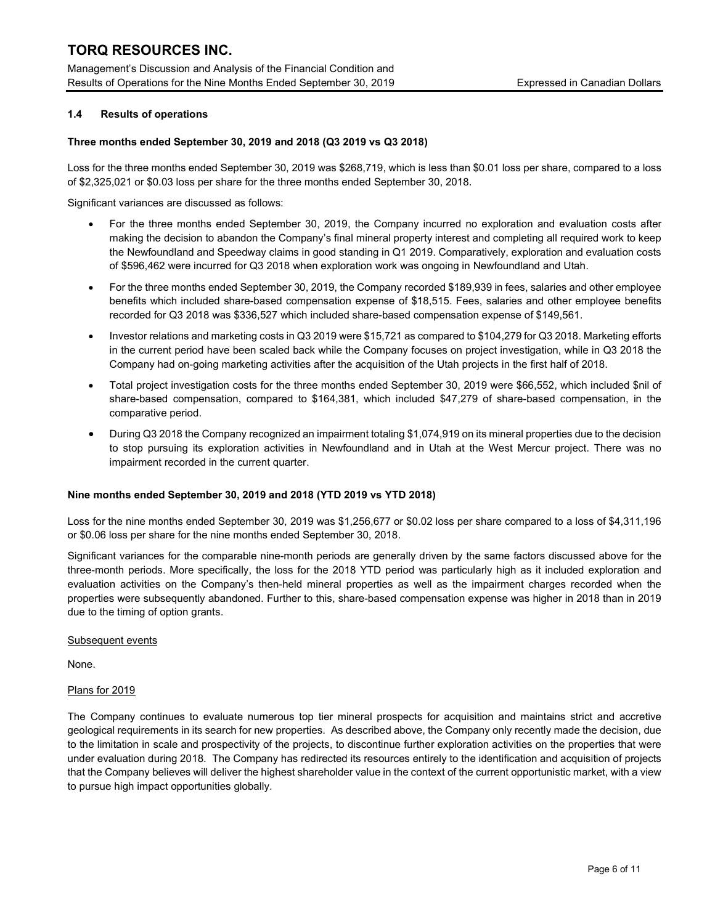Management's Discussion and Analysis of the Financial Condition and Results of Operations for the Nine Months Ended September 30, 2019 Expressed in Canadian Dollars

## 1.4 Results of operations

## Three months ended September 30, 2019 and 2018 (Q3 2019 vs Q3 2018)

Loss for the three months ended September 30, 2019 was \$268,719, which is less than \$0.01 loss per share, compared to a loss of \$2,325,021 or \$0.03 loss per share for the three months ended September 30, 2018.

Significant variances are discussed as follows:

- For the three months ended September 30, 2019, the Company incurred no exploration and evaluation costs after making the decision to abandon the Company's final mineral property interest and completing all required work to keep the Newfoundland and Speedway claims in good standing in Q1 2019. Comparatively, exploration and evaluation costs of \$596,462 were incurred for Q3 2018 when exploration work was ongoing in Newfoundland and Utah.
- For the three months ended September 30, 2019, the Company recorded \$189,939 in fees, salaries and other employee benefits which included share-based compensation expense of \$18,515. Fees, salaries and other employee benefits recorded for Q3 2018 was \$336,527 which included share-based compensation expense of \$149,561.
- Investor relations and marketing costs in Q3 2019 were \$15,721 as compared to \$104,279 for Q3 2018. Marketing efforts in the current period have been scaled back while the Company focuses on project investigation, while in Q3 2018 the Company had on-going marketing activities after the acquisition of the Utah projects in the first half of 2018.
- Total project investigation costs for the three months ended September 30, 2019 were \$66,552, which included \$nil of share-based compensation, compared to \$164,381, which included \$47,279 of share-based compensation, in the comparative period.
- During Q3 2018 the Company recognized an impairment totaling \$1,074,919 on its mineral properties due to the decision to stop pursuing its exploration activities in Newfoundland and in Utah at the West Mercur project. There was no impairment recorded in the current quarter.

## Nine months ended September 30, 2019 and 2018 (YTD 2019 vs YTD 2018)

Loss for the nine months ended September 30, 2019 was \$1,256,677 or \$0.02 loss per share compared to a loss of \$4,311,196 or \$0.06 loss per share for the nine months ended September 30, 2018.

Significant variances for the comparable nine-month periods are generally driven by the same factors discussed above for the three-month periods. More specifically, the loss for the 2018 YTD period was particularly high as it included exploration and evaluation activities on the Company's then-held mineral properties as well as the impairment charges recorded when the properties were subsequently abandoned. Further to this, share-based compensation expense was higher in 2018 than in 2019 due to the timing of option grants.

Subsequent events

None.

## Plans for 2019

The Company continues to evaluate numerous top tier mineral prospects for acquisition and maintains strict and accretive geological requirements in its search for new properties. As described above, the Company only recently made the decision, due to the limitation in scale and prospectivity of the projects, to discontinue further exploration activities on the properties that were under evaluation during 2018. The Company has redirected its resources entirely to the identification and acquisition of projects that the Company believes will deliver the highest shareholder value in the context of the current opportunistic market, with a view to pursue high impact opportunities globally.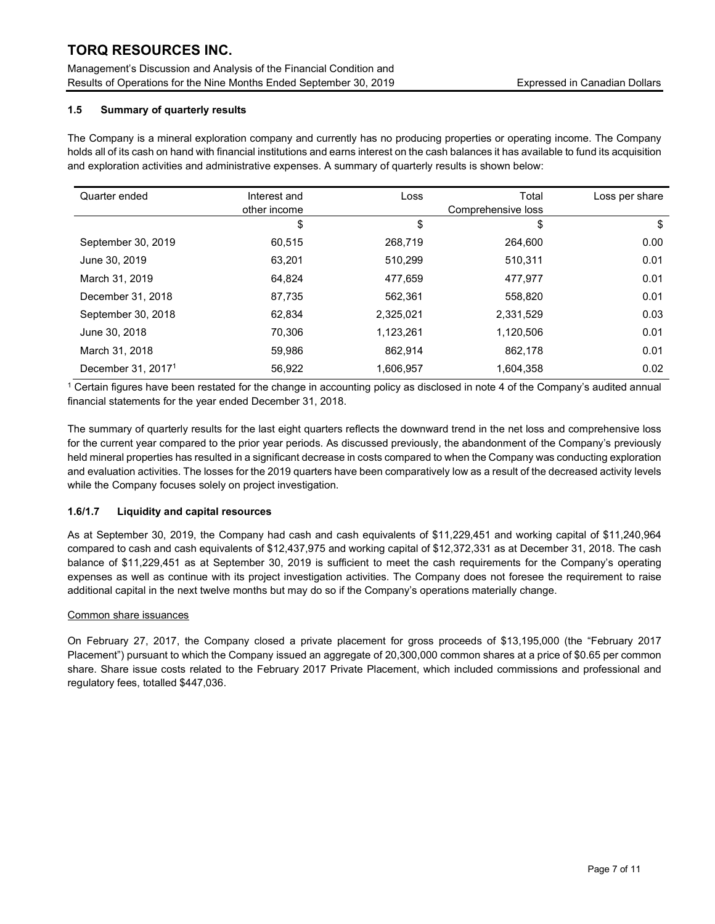Management's Discussion and Analysis of the Financial Condition and Results of Operations for the Nine Months Ended September 30, 2019 Expressed in Canadian Dollars

## 1.5 Summary of quarterly results

The Company is a mineral exploration company and currently has no producing properties or operating income. The Company holds all of its cash on hand with financial institutions and earns interest on the cash balances it has available to fund its acquisition and exploration activities and administrative expenses. A summary of quarterly results is shown below:

| Quarter ended                  | Interest and<br>other income | Loss      | Total<br>Comprehensive loss | Loss per share |
|--------------------------------|------------------------------|-----------|-----------------------------|----------------|
|                                | \$                           | \$        | \$                          | \$             |
| September 30, 2019             | 60.515                       | 268.719   | 264.600                     | 0.00           |
| June 30, 2019                  | 63,201                       | 510,299   | 510,311                     | 0.01           |
| March 31, 2019                 | 64.824                       | 477,659   | 477.977                     | 0.01           |
| December 31, 2018              | 87,735                       | 562,361   | 558,820                     | 0.01           |
| September 30, 2018             | 62.834                       | 2,325,021 | 2,331,529                   | 0.03           |
| June 30, 2018                  | 70,306                       | 1,123,261 | 1,120,506                   | 0.01           |
| March 31, 2018                 | 59,986                       | 862,914   | 862,178                     | 0.01           |
| December 31, 2017 <sup>1</sup> | 56,922                       | 1,606,957 | 1,604,358                   | 0.02           |

1 Certain figures have been restated for the change in accounting policy as disclosed in note 4 of the Company's audited annual financial statements for the year ended December 31, 2018.

The summary of quarterly results for the last eight quarters reflects the downward trend in the net loss and comprehensive loss for the current year compared to the prior year periods. As discussed previously, the abandonment of the Company's previously held mineral properties has resulted in a significant decrease in costs compared to when the Company was conducting exploration and evaluation activities. The losses for the 2019 quarters have been comparatively low as a result of the decreased activity levels while the Company focuses solely on project investigation.

## 1.6/1.7 Liquidity and capital resources

As at September 30, 2019, the Company had cash and cash equivalents of \$11,229,451 and working capital of \$11,240,964 compared to cash and cash equivalents of \$12,437,975 and working capital of \$12,372,331 as at December 31, 2018. The cash balance of \$11,229,451 as at September 30, 2019 is sufficient to meet the cash requirements for the Company's operating expenses as well as continue with its project investigation activities. The Company does not foresee the requirement to raise additional capital in the next twelve months but may do so if the Company's operations materially change.

## Common share issuances

On February 27, 2017, the Company closed a private placement for gross proceeds of \$13,195,000 (the "February 2017 Placement") pursuant to which the Company issued an aggregate of 20,300,000 common shares at a price of \$0.65 per common share. Share issue costs related to the February 2017 Private Placement, which included commissions and professional and regulatory fees, totalled \$447,036.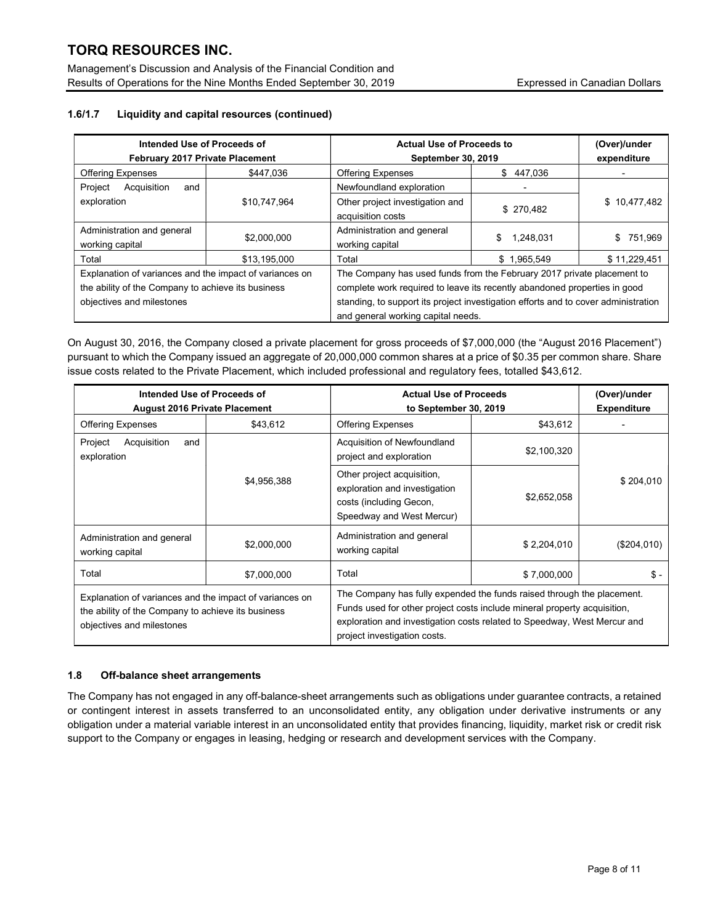Management's Discussion and Analysis of the Financial Condition and Results of Operations for the Nine Months Ended September 30, 2019 Expressed in Canadian Dollars

## 1.6/1.7 Liquidity and capital resources (continued)

| Intended Use of Proceeds of<br><b>February 2017 Private Placement</b>                                                                      |              | <b>Actual Use of Proceeds to</b><br>September 30, 2019                                                                                                                                                                                                                          | (Over)/under<br>expenditure |              |  |
|--------------------------------------------------------------------------------------------------------------------------------------------|--------------|---------------------------------------------------------------------------------------------------------------------------------------------------------------------------------------------------------------------------------------------------------------------------------|-----------------------------|--------------|--|
| <b>Offering Expenses</b>                                                                                                                   | \$447.036    | <b>Offering Expenses</b>                                                                                                                                                                                                                                                        | \$<br>447.036               |              |  |
| Project<br>Acquisition<br>and                                                                                                              |              | Newfoundland exploration                                                                                                                                                                                                                                                        |                             |              |  |
| exploration                                                                                                                                | \$10,747,964 | Other project investigation and<br>acquisition costs                                                                                                                                                                                                                            | \$270.482                   | \$10,477,482 |  |
| Administration and general<br>working capital                                                                                              | \$2,000,000  | Administration and general<br>working capital                                                                                                                                                                                                                                   | \$<br>1.248.031             | 751.969<br>S |  |
| Total                                                                                                                                      | \$13,195,000 | Total                                                                                                                                                                                                                                                                           | \$1,965,549                 | \$11,229,451 |  |
| Explanation of variances and the impact of variances on<br>the ability of the Company to achieve its business<br>objectives and milestones |              | The Company has used funds from the February 2017 private placement to<br>complete work required to leave its recently abandoned properties in good<br>standing, to support its project investigation efforts and to cover administration<br>and general working capital needs. |                             |              |  |

On August 30, 2016, the Company closed a private placement for gross proceeds of \$7,000,000 (the "August 2016 Placement") pursuant to which the Company issued an aggregate of 20,000,000 common shares at a price of \$0.35 per common share. Share issue costs related to the Private Placement, which included professional and regulatory fees, totalled \$43,612.

| Intended Use of Proceeds of<br><b>August 2016 Private Placement</b>                                                                        |             | <b>Actual Use of Proceeds</b><br>to September 30, 2019                                                                                                                                                                                                         | (Over)/under<br><b>Expenditure</b> |             |  |
|--------------------------------------------------------------------------------------------------------------------------------------------|-------------|----------------------------------------------------------------------------------------------------------------------------------------------------------------------------------------------------------------------------------------------------------------|------------------------------------|-------------|--|
| <b>Offering Expenses</b>                                                                                                                   | \$43,612    | <b>Offering Expenses</b>                                                                                                                                                                                                                                       | \$43,612                           |             |  |
| Acquisition<br>Project<br>and<br>exploration                                                                                               |             | Acquisition of Newfoundland<br>project and exploration                                                                                                                                                                                                         | \$2,100,320                        |             |  |
|                                                                                                                                            | \$4,956,388 | Other project acquisition,<br>exploration and investigation<br>costs (including Gecon,<br>Speedway and West Mercur)                                                                                                                                            | \$2,652,058                        | \$204,010   |  |
| Administration and general<br>working capital                                                                                              | \$2,000,000 | Administration and general<br>working capital                                                                                                                                                                                                                  | \$2.204.010                        | (\$204,010) |  |
| Total                                                                                                                                      | \$7,000,000 | Total<br>\$7,000,000                                                                                                                                                                                                                                           |                                    | \$-         |  |
| Explanation of variances and the impact of variances on<br>the ability of the Company to achieve its business<br>objectives and milestones |             | The Company has fully expended the funds raised through the placement.<br>Funds used for other project costs include mineral property acquisition,<br>exploration and investigation costs related to Speedway, West Mercur and<br>project investigation costs. |                                    |             |  |

## 1.8 Off-balance sheet arrangements

The Company has not engaged in any off-balance-sheet arrangements such as obligations under guarantee contracts, a retained or contingent interest in assets transferred to an unconsolidated entity, any obligation under derivative instruments or any obligation under a material variable interest in an unconsolidated entity that provides financing, liquidity, market risk or credit risk support to the Company or engages in leasing, hedging or research and development services with the Company.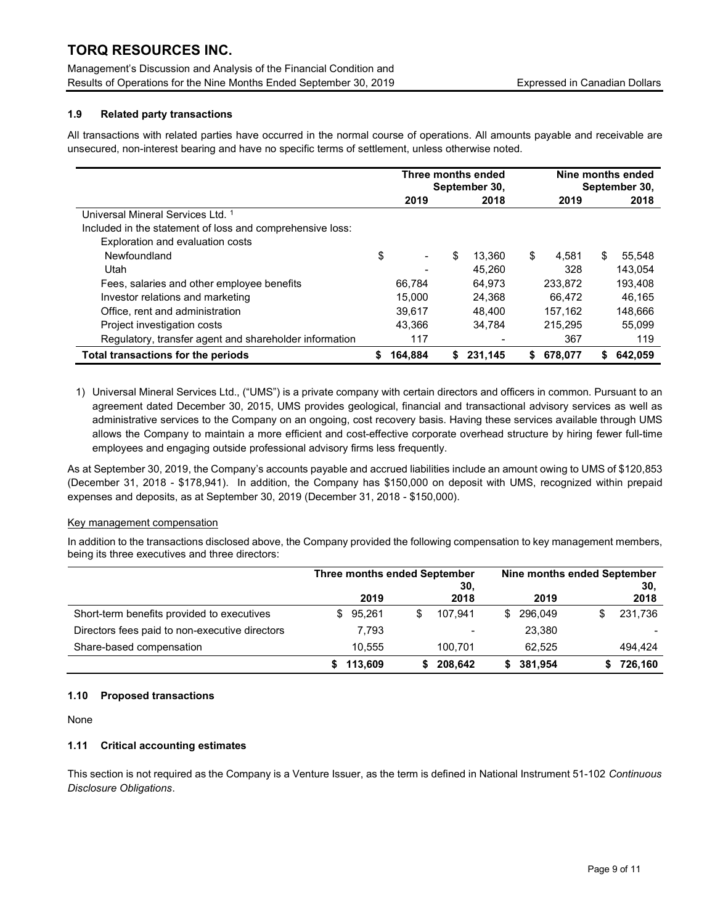Management's Discussion and Analysis of the Financial Condition and Results of Operations for the Nine Months Ended September 30, 2019 Expressed in Canadian Dollars

## 1.9 Related party transactions

All transactions with related parties have occurred in the normal course of operations. All amounts payable and receivable are unsecured, non-interest bearing and have no specific terms of settlement, unless otherwise noted.

|                                                           | Three months ended<br>September 30, |                          |              |    | Nine months ended<br>September 30, |    |         |
|-----------------------------------------------------------|-------------------------------------|--------------------------|--------------|----|------------------------------------|----|---------|
|                                                           |                                     | 2019                     | 2018         |    | 2019                               |    | 2018    |
| Universal Mineral Services Ltd. 1                         |                                     |                          |              |    |                                    |    |         |
| Included in the statement of loss and comprehensive loss: |                                     |                          |              |    |                                    |    |         |
| Exploration and evaluation costs                          |                                     |                          |              |    |                                    |    |         |
| Newfoundland                                              | \$                                  | $\overline{\phantom{0}}$ | \$<br>13.360 | \$ | 4.581                              | \$ | 55,548  |
| Utah                                                      |                                     |                          | 45.260       |    | 328                                |    | 143.054 |
| Fees, salaries and other employee benefits                |                                     | 66.784                   | 64.973       |    | 233.872                            |    | 193,408 |
| Investor relations and marketing                          |                                     | 15.000                   | 24.368       |    | 66.472                             |    | 46.165  |
| Office, rent and administration                           |                                     | 39.617                   | 48.400       |    | 157.162                            |    | 148,666 |
| Project investigation costs                               |                                     | 43.366                   | 34.784       |    | 215.295                            |    | 55.099  |
| Regulatory, transfer agent and shareholder information    |                                     | 117                      |              |    | 367                                |    | 119     |
| Total transactions for the periods                        |                                     | 164.884                  | \$231.145    | S. | 678.077                            | S. | 642,059 |

1) Universal Mineral Services Ltd., ("UMS") is a private company with certain directors and officers in common. Pursuant to an agreement dated December 30, 2015, UMS provides geological, financial and transactional advisory services as well as administrative services to the Company on an ongoing, cost recovery basis. Having these services available through UMS allows the Company to maintain a more efficient and cost-effective corporate overhead structure by hiring fewer full-time employees and engaging outside professional advisory firms less frequently.

As at September 30, 2019, the Company's accounts payable and accrued liabilities include an amount owing to UMS of \$120,853 (December 31, 2018 - \$178,941). In addition, the Company has \$150,000 on deposit with UMS, recognized within prepaid expenses and deposits, as at September 30, 2019 (December 31, 2018 - \$150,000).

## Key management compensation

In addition to the transactions disclosed above, the Company provided the following compensation to key management members, being its three executives and three directors:

|                                                | Three months ended September |             | Nine months ended September |             |  |  |
|------------------------------------------------|------------------------------|-------------|-----------------------------|-------------|--|--|
|                                                | 2019                         | 30.<br>2018 | 2019                        | 30.<br>2018 |  |  |
| Short-term benefits provided to executives     | 95.261<br>SS.                | 107.941     | 296.049<br>S.               | 231,736     |  |  |
| Directors fees paid to non-executive directors | 7.793                        |             | 23.380                      |             |  |  |
| Share-based compensation                       | 10.555                       | 100.701     | 62.525                      | 494,424     |  |  |
|                                                | 113,609                      | 208.642     | 381.954                     | 726,160     |  |  |

## 1.10 Proposed transactions

None

## 1.11 Critical accounting estimates

This section is not required as the Company is a Venture Issuer, as the term is defined in National Instrument 51-102 Continuous Disclosure Obligations.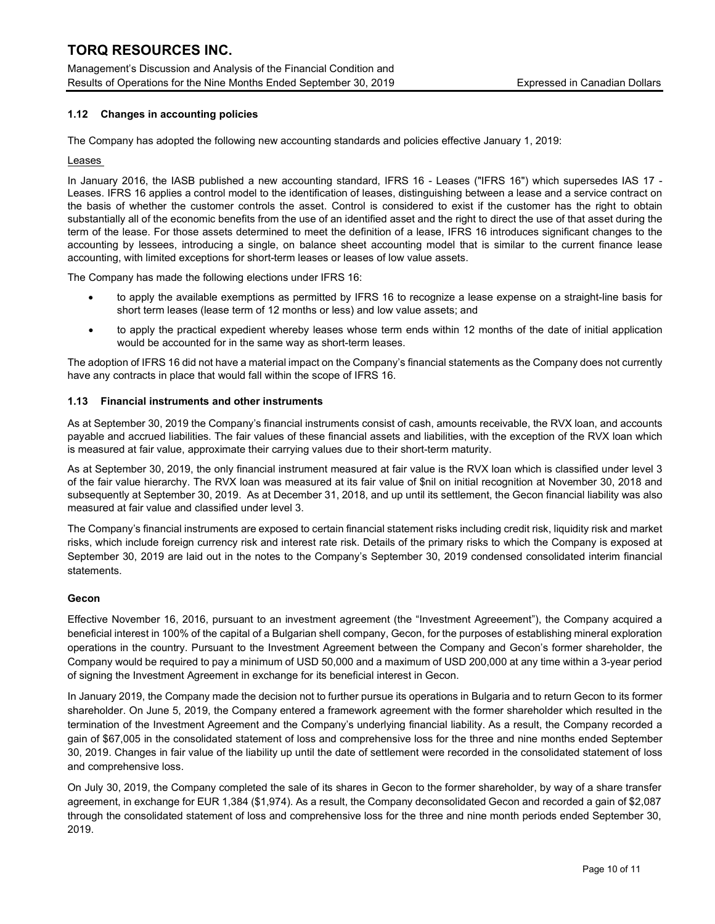Management's Discussion and Analysis of the Financial Condition and Results of Operations for the Nine Months Ended September 30, 2019 Expressed in Canadian Dollars

## 1.12 Changes in accounting policies

The Company has adopted the following new accounting standards and policies effective January 1, 2019:

## Leases

In January 2016, the IASB published a new accounting standard, IFRS 16 - Leases ("IFRS 16") which supersedes IAS 17 - Leases. IFRS 16 applies a control model to the identification of leases, distinguishing between a lease and a service contract on the basis of whether the customer controls the asset. Control is considered to exist if the customer has the right to obtain substantially all of the economic benefits from the use of an identified asset and the right to direct the use of that asset during the term of the lease. For those assets determined to meet the definition of a lease, IFRS 16 introduces significant changes to the accounting by lessees, introducing a single, on balance sheet accounting model that is similar to the current finance lease accounting, with limited exceptions for short-term leases or leases of low value assets.

The Company has made the following elections under IFRS 16:

- to apply the available exemptions as permitted by IFRS 16 to recognize a lease expense on a straight-line basis for short term leases (lease term of 12 months or less) and low value assets; and
- to apply the practical expedient whereby leases whose term ends within 12 months of the date of initial application would be accounted for in the same way as short-term leases.

The adoption of IFRS 16 did not have a material impact on the Company's financial statements as the Company does not currently have any contracts in place that would fall within the scope of IFRS 16.

## 1.13 Financial instruments and other instruments

As at September 30, 2019 the Company's financial instruments consist of cash, amounts receivable, the RVX loan, and accounts payable and accrued liabilities. The fair values of these financial assets and liabilities, with the exception of the RVX loan which is measured at fair value, approximate their carrying values due to their short-term maturity.

As at September 30, 2019, the only financial instrument measured at fair value is the RVX loan which is classified under level 3 of the fair value hierarchy. The RVX loan was measured at its fair value of \$nil on initial recognition at November 30, 2018 and subsequently at September 30, 2019. As at December 31, 2018, and up until its settlement, the Gecon financial liability was also measured at fair value and classified under level 3.

The Company's financial instruments are exposed to certain financial statement risks including credit risk, liquidity risk and market risks, which include foreign currency risk and interest rate risk. Details of the primary risks to which the Company is exposed at September 30, 2019 are laid out in the notes to the Company's September 30, 2019 condensed consolidated interim financial statements.

## Gecon

Effective November 16, 2016, pursuant to an investment agreement (the "Investment Agreeement"), the Company acquired a beneficial interest in 100% of the capital of a Bulgarian shell company, Gecon, for the purposes of establishing mineral exploration operations in the country. Pursuant to the Investment Agreement between the Company and Gecon's former shareholder, the Company would be required to pay a minimum of USD 50,000 and a maximum of USD 200,000 at any time within a 3-year period of signing the Investment Agreement in exchange for its beneficial interest in Gecon.

In January 2019, the Company made the decision not to further pursue its operations in Bulgaria and to return Gecon to its former shareholder. On June 5, 2019, the Company entered a framework agreement with the former shareholder which resulted in the termination of the Investment Agreement and the Company's underlying financial liability. As a result, the Company recorded a gain of \$67,005 in the consolidated statement of loss and comprehensive loss for the three and nine months ended September 30, 2019. Changes in fair value of the liability up until the date of settlement were recorded in the consolidated statement of loss and comprehensive loss.

On July 30, 2019, the Company completed the sale of its shares in Gecon to the former shareholder, by way of a share transfer agreement, in exchange for EUR 1,384 (\$1,974). As a result, the Company deconsolidated Gecon and recorded a gain of \$2,087 through the consolidated statement of loss and comprehensive loss for the three and nine month periods ended September 30, 2019.